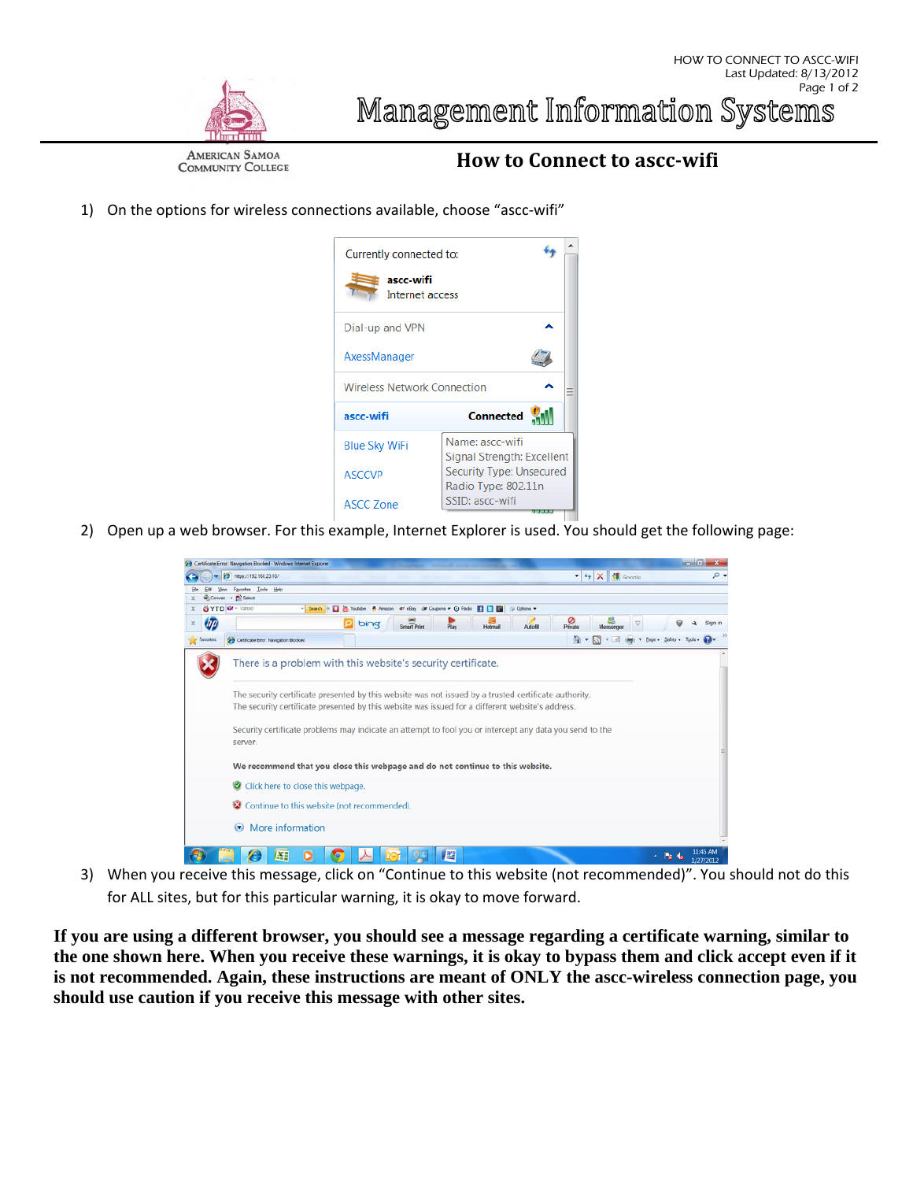

HOW TO CONNECT TO ASCC-WIFI

**AMERICAN SAMOA COMMUNITY COLLEGE** 

## **How to Connect to ascc‐wifi**

1) On the options for wireless connections available, choose "ascc-wifi"



2) Open up a web browser. For this example, Internet Explorer is used. You should get the following page:

|                      | P Hops://192.168.23.10/                                                                                                                                                                                                                                                                                                                                                                         |                 |                     |         | $-4$ $\times$ $\frac{14}{11}$ Georgia |                                            |  | Q |  |  |
|----------------------|-------------------------------------------------------------------------------------------------------------------------------------------------------------------------------------------------------------------------------------------------------------------------------------------------------------------------------------------------------------------------------------------------|-----------------|---------------------|---------|---------------------------------------|--------------------------------------------|--|---|--|--|
|                      | Fgyortes: Tools Holp                                                                                                                                                                                                                                                                                                                                                                            |                 |                     |         |                                       |                                            |  |   |  |  |
|                      | Convert - Pu Select<br>Search + E Youtube & Amazon er eBay & Coupons + O Rado E C E<br>SYTD O! - Vanco                                                                                                                                                                                                                                                                                          |                 | <b>El Options +</b> |         |                                       |                                            |  |   |  |  |
| x<br><b>UTD</b><br>x | ΙQΙ<br>bing<br>Smart Print                                                                                                                                                                                                                                                                                                                                                                      | Play<br>Hotmail | Autofill            | Private | Messenger                             |                                            |  |   |  |  |
| Favorites            | Cetticate Eror: Navigation Blocked                                                                                                                                                                                                                                                                                                                                                              |                 |                     |         |                                       | ☆ ■ 同 = 三 (mm) = Boot - Safety - Tools → 2 |  |   |  |  |
|                      | There is a problem with this website's security certificate.<br>The security certificate presented by this website was not issued by a trusted certificate authority.<br>The security certificate presented by this website was issued for a different website's address.<br>Security certificate problems may indicate an attempt to fool you or intercept any data you send to the<br>server. |                 |                     |         |                                       |                                            |  |   |  |  |
|                      | We recommend that you close this webpage and do not continue to this website.                                                                                                                                                                                                                                                                                                                   |                 |                     |         |                                       |                                            |  |   |  |  |
|                      | Click here to close this webpage.                                                                                                                                                                                                                                                                                                                                                               |                 |                     |         |                                       |                                            |  |   |  |  |
|                      | Continue to this website (not recommended).                                                                                                                                                                                                                                                                                                                                                     |                 |                     |         |                                       |                                            |  |   |  |  |
|                      | More information<br>$\left( \mathbf{r} \right)$                                                                                                                                                                                                                                                                                                                                                 |                 |                     |         |                                       |                                            |  |   |  |  |
|                      |                                                                                                                                                                                                                                                                                                                                                                                                 |                 |                     |         |                                       |                                            |  |   |  |  |

3) When you receive this message, click on "Continue to this website (not recommended)". You should not do this for ALL sites, but for this particular warning, it is okay to move forward.

**If you are using a different browser, you should see a message regarding a certificate warning, similar to the one shown here. When you receive these warnings, it is okay to bypass them and click accept even if it is not recommended. Again, these instructions are meant of ONLY the ascc-wireless connection page, you should use caution if you receive this message with other sites.**